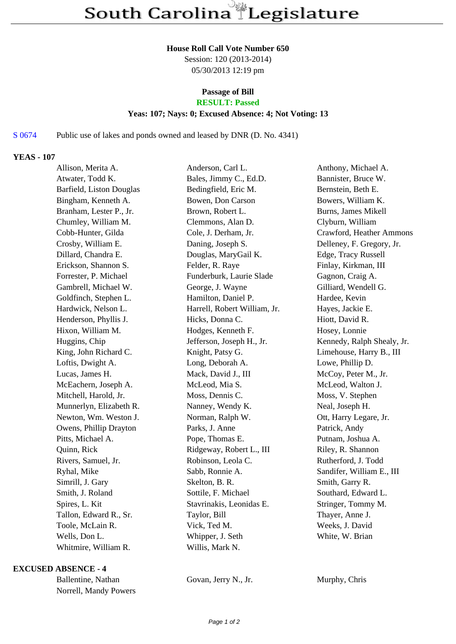#### **House Roll Call Vote Number 650**

Session: 120 (2013-2014) 05/30/2013 12:19 pm

# **Passage of Bill**

## **RESULT: Passed**

## **Yeas: 107; Nays: 0; Excused Absence: 4; Not Voting: 13**

## S 0674 Public use of lakes and ponds owned and leased by DNR (D. No. 4341)

## **YEAS - 107**

| Allison, Merita A.       | Anderson, Carl L.            | Anthony, Michael A.        |
|--------------------------|------------------------------|----------------------------|
| Atwater, Todd K.         | Bales, Jimmy C., Ed.D.       | Bannister, Bruce W.        |
| Barfield, Liston Douglas | Bedingfield, Eric M.         | Bernstein, Beth E.         |
| Bingham, Kenneth A.      | Bowen, Don Carson            | Bowers, William K.         |
| Branham, Lester P., Jr.  | Brown, Robert L.             | <b>Burns, James Mikell</b> |
| Chumley, William M.      | Clemmons, Alan D.            | Clyburn, William           |
| Cobb-Hunter, Gilda       | Cole, J. Derham, Jr.         | Crawford, Heather Ammons   |
| Crosby, William E.       | Daning, Joseph S.            | Delleney, F. Gregory, Jr.  |
| Dillard, Chandra E.      | Douglas, MaryGail K.         | Edge, Tracy Russell        |
| Erickson, Shannon S.     | Felder, R. Raye              | Finlay, Kirkman, III       |
| Forrester, P. Michael    | Funderburk, Laurie Slade     | Gagnon, Craig A.           |
| Gambrell, Michael W.     | George, J. Wayne             | Gilliard, Wendell G.       |
| Goldfinch, Stephen L.    | Hamilton, Daniel P.          | Hardee, Kevin              |
| Hardwick, Nelson L.      | Harrell, Robert William, Jr. | Hayes, Jackie E.           |
| Henderson, Phyllis J.    | Hicks, Donna C.              | Hiott, David R.            |
| Hixon, William M.        | Hodges, Kenneth F.           | Hosey, Lonnie              |
| Huggins, Chip            | Jefferson, Joseph H., Jr.    | Kennedy, Ralph Shealy, Jr. |
| King, John Richard C.    | Knight, Patsy G.             | Limehouse, Harry B., III   |
| Loftis, Dwight A.        | Long, Deborah A.             | Lowe, Phillip D.           |
| Lucas, James H.          | Mack, David J., III          | McCoy, Peter M., Jr.       |
| McEachern, Joseph A.     | McLeod, Mia S.               | McLeod, Walton J.          |
| Mitchell, Harold, Jr.    | Moss, Dennis C.              | Moss, V. Stephen           |
| Munnerlyn, Elizabeth R.  | Nanney, Wendy K.             | Neal, Joseph H.            |
| Newton, Wm. Weston J.    | Norman, Ralph W.             | Ott, Harry Legare, Jr.     |
| Owens, Phillip Drayton   | Parks, J. Anne               | Patrick, Andy              |
| Pitts, Michael A.        | Pope, Thomas E.              | Putnam, Joshua A.          |
| Quinn, Rick              | Ridgeway, Robert L., III     | Riley, R. Shannon          |
| Rivers, Samuel, Jr.      | Robinson, Leola C.           | Rutherford, J. Todd        |
| Ryhal, Mike              | Sabb, Ronnie A.              | Sandifer, William E., III  |
| Simrill, J. Gary         | Skelton, B. R.               | Smith, Garry R.            |
| Smith, J. Roland         | Sottile, F. Michael          | Southard, Edward L.        |
| Spires, L. Kit           | Stavrinakis, Leonidas E.     | Stringer, Tommy M.         |
| Tallon, Edward R., Sr.   | Taylor, Bill                 | Thayer, Anne J.            |
| Toole, McLain R.         | Vick, Ted M.                 | Weeks, J. David            |
| Wells, Don L.            | Whipper, J. Seth             | White, W. Brian            |
| Whitmire, William R.     | Willis, Mark N.              |                            |
|                          |                              |                            |

#### **EXCUSED ABSENCE - 4**

Ballentine, Nathan Govan, Jerry N., Jr. Murphy, Chris Norrell, Mandy Powers